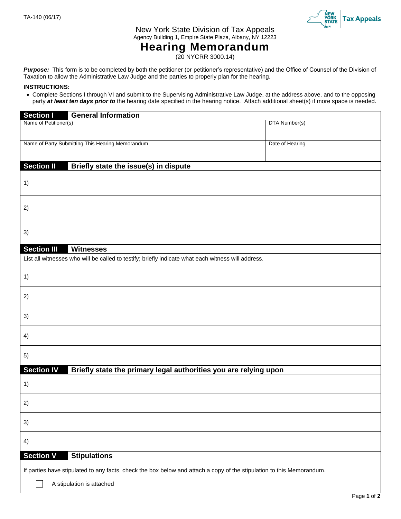

New York State Division of Tax Appeals Agency Building 1, Empire State Plaza, Albany, NY 12223

## **Hearing Memorandum**

(20 NYCRR 3000.14)

Purpose: This form is to be completed by both the petitioner (or petitioner's representative) and the Office of Counsel of the Division of Taxation to allow the Administrative Law Judge and the parties to properly plan for the hearing.

## **INSTRUCTIONS:**

 Complete Sections I through VI and submit to the Supervising Administrative Law Judge, at the address above, and to the opposing party **at least ten days prior to** the hearing date specified in the hearing notice. Attach additional sheet(s) if more space is needed.

| <b>Section I</b>                                                                                                      | <b>General Information</b>                                       |                 |  |  |  |
|-----------------------------------------------------------------------------------------------------------------------|------------------------------------------------------------------|-----------------|--|--|--|
| Name of Petitioner(s)                                                                                                 |                                                                  | DTA Number(s)   |  |  |  |
|                                                                                                                       | Name of Party Submitting This Hearing Memorandum                 | Date of Hearing |  |  |  |
| <b>Section II</b>                                                                                                     | Briefly state the issue(s) in dispute                            |                 |  |  |  |
| 1)                                                                                                                    |                                                                  |                 |  |  |  |
| 2)                                                                                                                    |                                                                  |                 |  |  |  |
| 3)                                                                                                                    |                                                                  |                 |  |  |  |
| <b>Section III</b>                                                                                                    | <b>Witnesses</b>                                                 |                 |  |  |  |
| List all witnesses who will be called to testify; briefly indicate what each witness will address.                    |                                                                  |                 |  |  |  |
| 1)                                                                                                                    |                                                                  |                 |  |  |  |
| 2)                                                                                                                    |                                                                  |                 |  |  |  |
| 3)                                                                                                                    |                                                                  |                 |  |  |  |
| 4)                                                                                                                    |                                                                  |                 |  |  |  |
| 5)                                                                                                                    |                                                                  |                 |  |  |  |
| <b>Section IV</b>                                                                                                     | Briefly state the primary legal authorities you are relying upon |                 |  |  |  |
| 1)                                                                                                                    |                                                                  |                 |  |  |  |
| 2)                                                                                                                    |                                                                  |                 |  |  |  |
| 3)                                                                                                                    |                                                                  |                 |  |  |  |
| 4)                                                                                                                    |                                                                  |                 |  |  |  |
| <b>Section V</b><br><b>Stipulations</b>                                                                               |                                                                  |                 |  |  |  |
| If parties have stipulated to any facts, check the box below and attach a copy of the stipulation to this Memorandum. |                                                                  |                 |  |  |  |
| A stipulation is attached                                                                                             |                                                                  |                 |  |  |  |